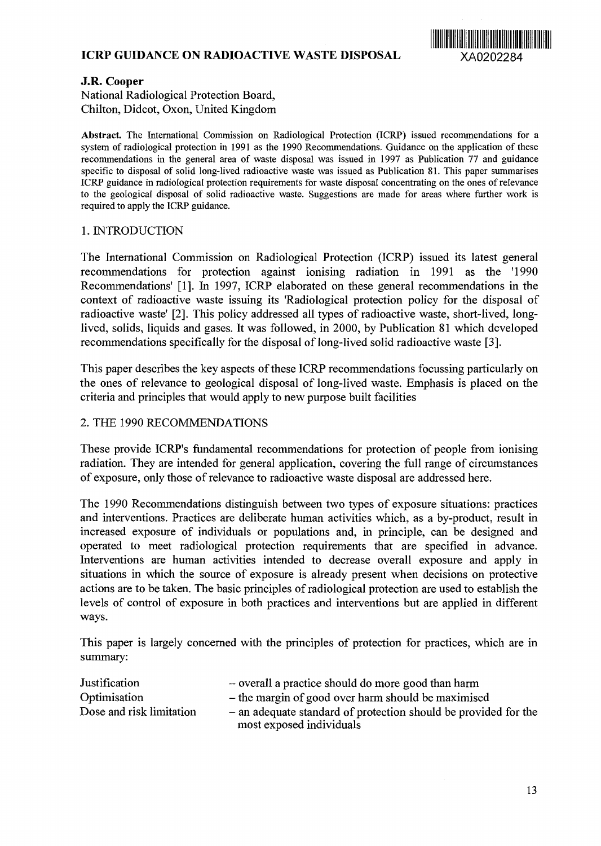# **ICRP GUIDANCE ON RADIOACTIVE WASTE DISPOSAL XA0202284**



### **J.R. Cooper**

National Radiological Protection Board, Chilton, Didcot, Oxon, United Kingdom

**Abstract.** The International Commission on Radiological Protection (ICRP) issued recommendations for a system of radiological protection in 1991 as the 1990 Recommendations. Guidance on the application of these recommendations in the general area of waste disposal was issued in 1997 as Publication 77 and guidance specific to disposal of solid long-lived radioactive waste was issued as Publication 81. This paper summarises ICRP guidance in radiological protection requirements for waste disposal concentrating on the ones of relevance to the geological disposal of solid radioactive waste. Suggestions are made for areas where further work is required to apply the ICRP guidance.

### 1. INTRODUCTION

The International Commission on Radiological Protection (ICRP) issued its latest general recommendations for protection against ionising radiation in 1991 as the '1990 Recommendations' [1]. In 1997, ICRP elaborated on these general recommendations in the context of radioactive waste issuing its 'Radiological protection policy for the disposal of radioactive waste' [2]. This policy addressed all types of radioactive waste, short-lived, longlived, solids, liquids and gases. It was followed, in 2000, by Publication 81 which developed recommendations specifically for the disposal of long-lived solid radioactive waste [3].

This paper describes the key aspects of these ICRP recommendations focussing particularly on the ones of relevance to geological disposal of long-lived waste. Emphasis is placed on the criteria and principles that would apply to new purpose built facilities

## 2. THE 1990 RECOMMENDATIONS

These provide ICRP's fundamental recommendations for protection of people from ionising radiation. They are intended for general application, covering the full range of circumstances of exposure, only those of relevance to radioactive waste disposal are addressed here.

The 1990 Recommendations distinguish between two types of exposure situations: practices and interventions. Practices are deliberate human activities which, as a by-product, result in increased exposure of individuals or populations and, in principle, can be designed and operated to meet radiological protection requirements that are specified in advance. Interventions are human activities intended to decrease overall exposure and apply in situations in which the source of exposure is already present when decisions on protective actions are to be taken. The basic principles of radiological protection are used to establish the levels of control of exposure in both practices and interventions but are applied in different ways.

This paper is largely concerned with the principles of protection for practices, which are in summary:

| Justification            | - overall a practice should do more good than harm                                          |
|--------------------------|---------------------------------------------------------------------------------------------|
| Optimisation             | - the margin of good over harm should be maximised                                          |
| Dose and risk limitation | - an adequate standard of protection should be provided for the<br>most exposed individuals |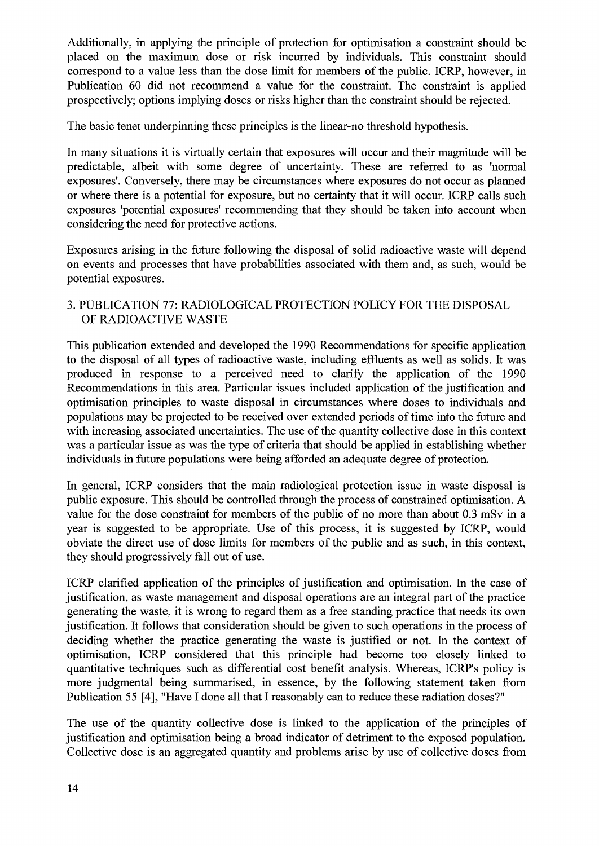Additionally, in applying the principle of protection for optimisation a constraint should be placed on the maximum dose or risk incurred by individuals. This constraint should correspond to a value less than the dose limit for members of the public. ICRP, however, in Publication 60 did not recommend a value for the constraint. The constraint is applied prospectively; options implying doses or risks higher than the constraint should be rejected.

The basic tenet underpinning these principles is the linear-no threshold hypothesis.

In many situations it is virtually certain that exposures will occur and their magnitude will be predictable, albeit with some degree of uncertainty. These are referred to as 'normal exposures'. Conversely, there may be circumstances where exposures do not occur as planned or where there is a potential for exposure, but no certainty that it will occur. ICRP calls such exposures 'potential exposures' recommending that they should be taken into account when considering the need for protective actions.

Exposures arising in the future following the disposal of solid radioactive waste will depend on events and processes that have probabilities associated with them and, as such, would be potential exposures.

# 3. PUBLICATION 77: RADIOLOGICAL PROTECTION POLICY FOR THE DISPOSAL OF RADIOACTIVE WASTE

This publication extended and developed the 1990 Recommendations for specific application to the disposal of all types of radioactive waste, including effluents as well as solids. It was produced in response to a perceived need to clarify the application of the 1990 Recommendations in this area. Particular issues included application of the justification and optimisation principles to waste disposal in circumstances where doses to individuals and populations may be projected to be received over extended periods of time into the future and with increasing associated uncertainties. The use of the quantity collective dose in this context was a particular issue as was the type of criteria that should be applied in establishing whether individuals in future populations were being afforded an adequate degree of protection.

In general, ICRP considers that the main radiological protection issue in waste disposal is public exposure. This should be controlled through the process of constrained optimisation. A value for the dose constraint for members of the public of no more than about 0.3 mSv in a year is suggested to be appropriate. Use of this process, it is suggested by ICRP, would obviate the direct use of dose limits for members of the public and as such, in this context, they should progressively fall out of use.

ICRP clarified application of the principles of justification and optimisation. In the case of justification, as waste management and disposal operations are an integral part of the practice generating the waste, it is wrong to regard them as a free standing practice that needs its own justification. It follows that consideration should be given to such operations in the process of deciding whether the practice generating the waste is justified or not. In the context of optimisation, ICRP considered that this principle had become too closely linked to quantitative techniques such as differential cost benefit analysis. Whereas, ICRP's policy is more judgmental being summarised, in essence, by the following statement taken from Publication 55 [4], "Have I done all that I reasonably can to reduce these radiation doses?"

The use of the quantity collective dose is linked to the application of the principles of justification and optimisation being a broad indicator of detriment to the exposed population. Collective dose is an aggregated quantity and problems arise by use of collective doses from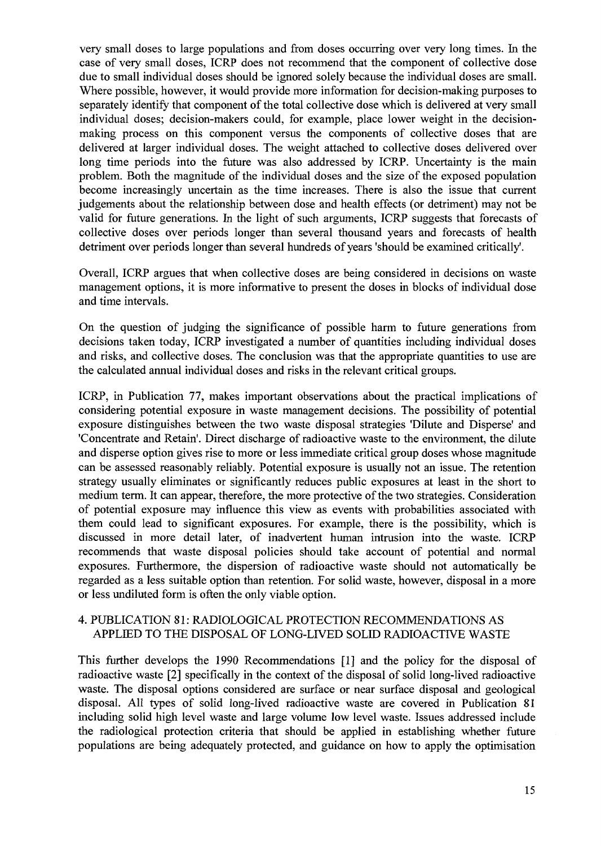very small doses to large populations and from doses occurring over very long times. In the case of very small doses, ICRP does not recommend that the component of collective dose due to small individual doses should be ignored solely because the individual doses are small. Where possible, however, it would provide more information for decision-making purposes to separately identify that component of the total collective dose which is delivered at very small individual doses; decision-makers could, for example, place lower weight in the decisionmaking process on this component versus the components of collective doses that are delivered at larger individual doses. The weight attached to collective doses delivered over long time periods into the future was also addressed by ICRP. Uncertainty is the main problem. Both the magnitude of the individual doses and the size of the exposed population become increasingly uncertain as the time increases. There is also the issue that current judgements about the relationship between dose and health effects (or detriment) may not be valid for future generations. In the light of such arguments, ICRP suggests that forecasts of collective doses over periods longer than several thousand years and forecasts of health detriment over periods longer than several hundreds of years 'should be examined critically'.

Overall, ICRP argues that when collective doses are being considered in decisions on waste management options, it is more informative to present the doses in blocks of individual dose and time intervals.

On the question of judging the significance of possible harm to future generations from decisions taken today, ICRP investigated a number of quantities including individual doses and risks, and collective doses. The conclusion was that the appropriate quantities to use are the calculated annual individual doses and risks in the relevant critical groups.

ICRP, in Publication 77, makes important observations about the practical implications of considering potential exposure in waste management decisions. The possibility of potential exposure distinguishes between the two waste disposal strategies 'Dilute and Disperse' and 'Concentrate and Retain'. Direct discharge of radioactive waste to the environment, the dilute and disperse option gives rise to more or less immediate critical group doses whose magnitude can be assessed reasonably reliably. Potential exposure is usually not an issue. The retention strategy usually eliminates or significantly reduces public exposures at least in the short to medium term. It can appear, therefore, the more protective of the two strategies. Consideration of potential exposure may influence this view as events with probabilities associated with them could lead to significant exposures. For example, there is the possibility, which is discussed in more detail later, of inadvertent human intrusion into the waste. ICRP recommends that waste disposal policies should take account of potential and normal exposures. Furthermore, the dispersion of radioactive waste should not automatically be regarded as a less suitable option than retention. For solid waste, however, disposal in a more or less undiluted form is often the only viable option.

# 4. PUBLICATION 81: RADIOLOGICAL PROTECTION RECOMMENDATIONS AS APPLIED TO THE DISPOSAL OF LONG-LIVED SOLID RADIOACTIVE WASTE

This further develops the 1990 Recommendations [1] and the policy for the disposal of radioactive waste [2] specifically in the context of the disposal of solid long-lived radioactive waste. The disposal options considered are surface or near surface disposal and geological disposal. All types of solid long-lived radioactive waste are covered in Publication 81 including solid high level waste and large volume low level waste. Issues addressed include the radiological protection criteria that should be applied in establishing whether future populations are being adequately protected, and guidance on how to apply the optimisation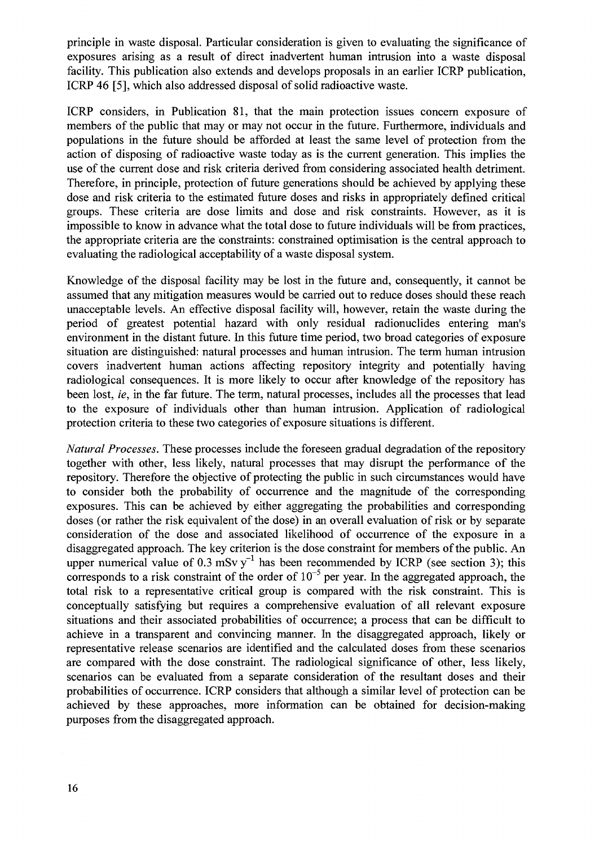principle in waste disposal. Particular consideration is given to evaluating the significance of exposures arising as a result of direct inadvertent human intrusion into a waste disposal facility. This publication also extends and develops proposals in an earlier ICRP publication, ICRP 46 [5], which also addressed disposal of solid radioactive waste.

ICRP considers, in Publication 81, that the main protection issues concern exposure of members of the public that may or may not occur in the future. Furthermore, individuals and populations in the future should be afforded at least the same level of protection from the action of disposing of radioactive waste today as is the current generation. This implies the use of the current dose and risk criteria derived from considering associated health detriment. Therefore, in principle, protection of future generations should be achieved by applying these dose and risk criteria to the estimated future doses and risks in appropriately defined critical groups. These criteria are dose limits and dose and risk constraints. However, as it is impossible to know in advance what the total dose to future individuals will be from practices, the appropriate criteria are the constraints: constrained optimisation is the central approach to evaluating the radiological acceptability of a waste disposal system.

Knowledge of the disposal facility may be lost in the future and, consequently, it cannot be assumed that any mitigation measures would be carried out to reduce doses should these reach unacceptable levels. An effective disposal facility will, however, retain the waste during the period of greatest potential hazard with only residual radionuclides entering man's environment in the distant future. In this future time period, two broad categories of exposure situation are distinguished: natural processes and human intrusion. The term human intrusion covers inadvertent human actions affecting repository integrity and potentially having radiological consequences. It is more likely to occur after knowledge of the repository has been lost, *ie,* in the far future. The term, natural processes, includes all the processes that lead to the exposure of individuals other than human intrusion. Application of radiological protection criteria to these two categories of exposure situations is different.

*Natural Processes.* These processes include the foreseen gradual degradation of the repository together with other, less likely, natural processes that may disrupt the performance of the repository. Therefore the objective of protecting the public in such circumstances would have to consider both the probability of occurrence and the magnitude of the corresponding exposures. This can be achieved by either aggregating the probabilities and corresponding doses (or rather the risk equivalent of the dose) in an overall evaluation of risk or by separate consideration of the dose and associated likelihood of occurrence of the exposure in a disaggregated approach. The key criterion is the dose constraint for members of the public. An upper numerical value of  $0.3 \text{ mSv y}^{-1}$  has been recommended by ICRP (see section 3); this corresponds to a risk constraint of the order of  $10^{-5}$  per year. In the aggregated approach, the total risk to a representative critical group is compared with the risk constraint. This is conceptually satisfying but requires a comprehensive evaluation of all relevant exposure situations and their associated probabilities of occurrence; a process that can be difficult to achieve in a transparent and convincing manner. In the disaggregated approach, likely or representative release scenarios are identified and the calculated doses from these scenarios are compared with the dose constraint. The radiological significance of other, less likely, scenarios can be evaluated from a separate consideration of the resultant doses and their probabilities of occurrence. ICRP considers that although a similar level of protection can be achieved by these approaches, more information can be obtained for decision-making purposes from the disaggregated approach.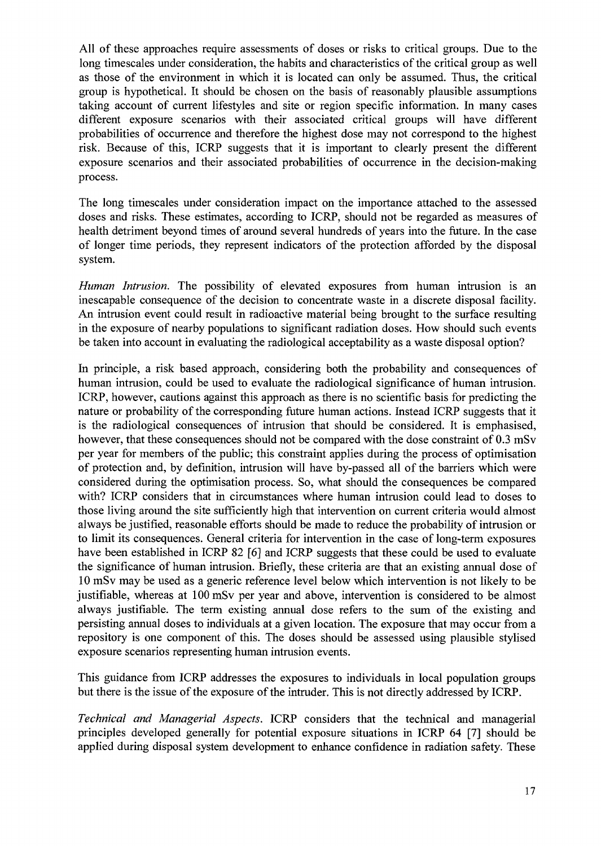All of these approaches require assessments of doses or risks to critical groups. Due to the long timescales under consideration, the habits and characteristics of the critical group as well as those of the environment in which it is located can only be assumed. Thus, the critical group is hypothetical. It should be chosen on the basis of reasonably plausible assumptions taking account of current lifestyles and site or region specific information. In many cases different exposure scenarios with their associated critical groups will have different probabilities of occurrence and therefore the highest dose may not correspond to the highest risk. Because of this, ICRP suggests that it is important to clearly present the different exposure scenarios and their associated probabilities of occurrence in the decision-making process.

The long timescales under consideration impact on the importance attached to the assessed doses and risks. These estimates, according to ICRP, should not be regarded as measures of health detriment beyond times of around several hundreds of years into the future. In the case of longer time periods, they represent indicators of the protection afforded by the disposal system.

*Human Intrusion.* The possibility of elevated exposures from human intrusion is an inescapable consequence of the decision to concentrate waste in a discrete disposal facility. An intrusion event could result in radioactive material being brought to the surface resulting in the exposure of nearby populations to significant radiation doses. How should such events be taken into account in evaluating the radiological acceptability as a waste disposal option?

In principle, a risk based approach, considering both the probability and consequences of human intrusion, could be used to evaluate the radiological significance of human intrusion. ICRP, however, cautions against this approach as there is no scientific basis for predicting the nature or probability of the corresponding future human actions. Instead ICRP suggests that it is the radiological consequences of intrusion that should be considered. It is emphasised, however, that these consequences should not be compared with the dose constraint of 0.3 mSv per year for members of the public; this constraint applies during the process of optimisation of protection and, by definition, intrusion will have by-passed all of the barriers which were considered during the optimisation process. So, what should the consequences be compared with? ICRP considers that in circumstances where human intrusion could lead to doses to those living around the site sufficiently high that intervention on current criteria would almost always be justified, reasonable efforts should be made to reduce the probability of intrusion or to limit its consequences. General criteria for intervention in the case of long-term exposures have been established in ICRP 82 [6] and ICRP suggests that these could be used to evaluate the significance of human intrusion. Briefly, these criteria are that an existing annual dose of 10 mSv may be used as a generic reference level below which intervention is not likely to be justifiable, whereas at 100 mSv per year and above, intervention is considered to be almost always justifiable. The term existing annual dose refers to the sum of the existing and persisting annual doses to individuals at a given location. The exposure that may occur from a repository is one component of this. The doses should be assessed using plausible stylised exposure scenarios representing human intrusion events.

This guidance from ICRP addresses the exposures to individuals in local population groups but there is the issue of the exposure of the intruder. This is not directly addressed by ICRP.

*Technical and Managerial Aspects.* ICRP considers that the technical and managerial principles developed generally for potential exposure situations in ICRP 64 [7] should be applied during disposal system development to enhance confidence in radiation safety. These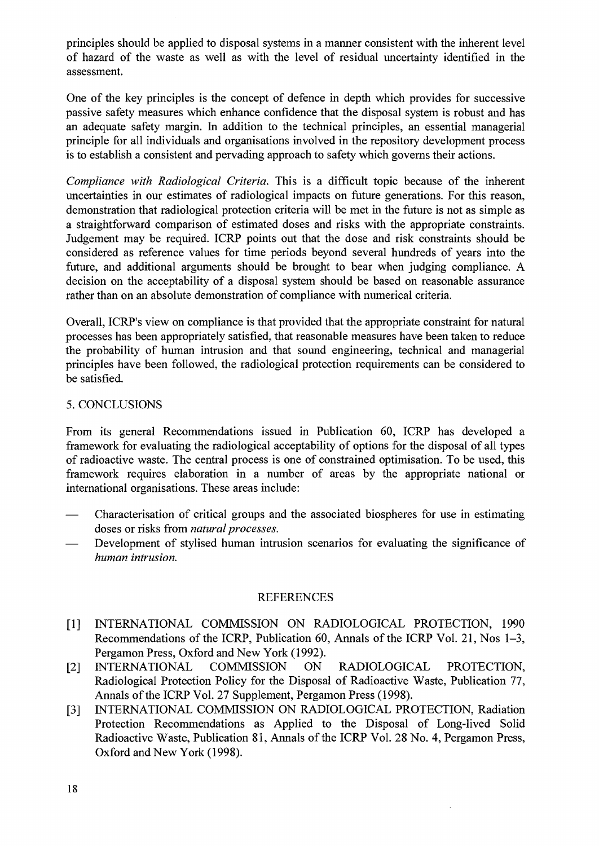principles should be applied to disposal systems in a manner consistent with the inherent level of hazard of the waste as well as with the level of residual uncertainty identified in the assessment.

One of the key principles is the concept of defence in depth which provides for successive passive safety measures which enhance confidence that the disposal system is robust and has an adequate safety margin. In addition to the technical principles, an essential managerial principle for all individuals and organisations involved in the repository development process is to establish a consistent and pervading approach to safety which governs their actions.

*Compliance with Radiological Criteria.* This is a difficult topic because of the inherent uncertainties in our estimates of radiological impacts on future generations. For this reason, demonstration that radiological protection criteria will be met in the future is not as simple as a straightforward comparison of estimated doses and risks with the appropriate constraints. Judgement may be required. ICRP points out that the dose and risk constraints should be considered as reference values for time periods beyond several hundreds of years into the future, and additional arguments should be brought to bear when judging compliance. A decision on the acceptability of a disposal system should be based on reasonable assurance rather than on an absolute demonstration of compliance with numerical criteria.

Overall, ICRP's view on compliance is that provided that the appropriate constraint for natural processes has been appropriately satisfied, that reasonable measures have been taken to reduce the probability of human intrusion and that sound engineering, technical and managerial principles have been followed, the radiological protection requirements can be considered to be satisfied.

## 5. CONCLUSIONS

From its general Recommendations issued in Publication 60, ICRP has developed a framework for evaluating the radiological acceptability of options for the disposal of all types of radioactive waste. The central process is one of constrained optimisation. To be used, this framework requires elaboration in a number of areas by the appropriate national or international organisations. These areas include:

- Characterisation of critical groups and the associated biospheres for use in estimating doses or risks from *natural processes.*
- Development of stylised human intrusion scenarios for evaluating the significance of *human intrusion.*

### REFERENCES

- [1] INTERNATIONAL COMMISSION ON RADIOLOGICAL PROTECTION, 1990 Recommendations of the ICRP, Publication 60, Annals of the ICRP Vol. 21, Nos 1-3, Pergamon Press, Oxford and New York (1992).
- [2] INTERNATIONAL COMMISSION ON RADIOLOGICAL PROTECTION, Radiological Protection Policy for the Disposal of Radioactive Waste, Publication 77, Annals of the ICRP Vol. 27 Supplement, Pergamon Press (1998).
- [3] INTERNATIONAL COMMISSION ON RADIOLOGICAL PROTECTION, Radiation Protection Recommendations as Applied to the Disposal of Long-lived Solid Radioactive Waste, Publication 81, Annals of the ICRP Vol. 28 No. 4, Pergamon Press, Oxford and New York (1998).